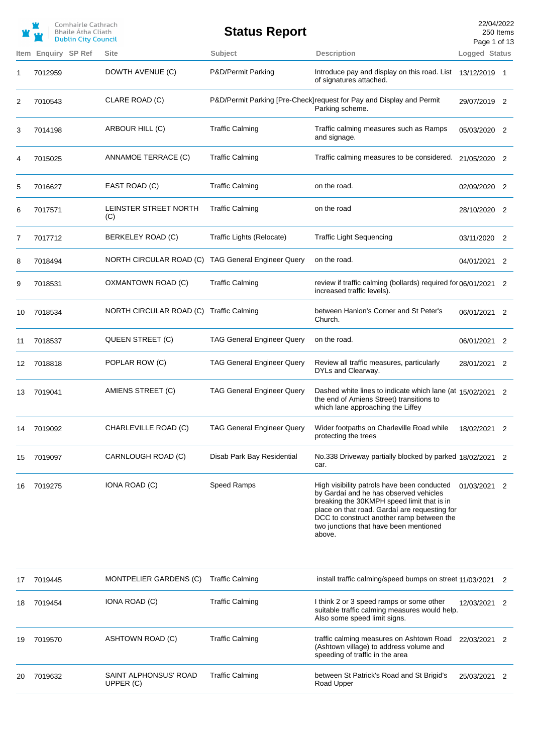|      |                | Comhairle Cathrach<br>Bhaile Átha Cliath<br><b>Dublin City Council</b> |                                         | <b>Status Report</b>              |                                                                                                                                                                                                                                                                                       | 22/04/2022<br>Page 1 of 13 | 250 Items |
|------|----------------|------------------------------------------------------------------------|-----------------------------------------|-----------------------------------|---------------------------------------------------------------------------------------------------------------------------------------------------------------------------------------------------------------------------------------------------------------------------------------|----------------------------|-----------|
| Item | Enquiry SP Ref |                                                                        | <b>Site</b>                             | Subject                           | <b>Description</b>                                                                                                                                                                                                                                                                    | Logged Status              |           |
| 1    | 7012959        |                                                                        | DOWTH AVENUE (C)                        | P&D/Permit Parking                | Introduce pay and display on this road. List<br>of signatures attached.                                                                                                                                                                                                               | 13/12/2019 1               |           |
| 2    | 7010543        |                                                                        | CLARE ROAD (C)                          |                                   | P&D/Permit Parking [Pre-Check] request for Pay and Display and Permit<br>Parking scheme.                                                                                                                                                                                              | 29/07/2019 2               |           |
| 3    | 7014198        |                                                                        | ARBOUR HILL (C)                         | <b>Traffic Calming</b>            | Traffic calming measures such as Ramps<br>and signage.                                                                                                                                                                                                                                | 05/03/2020 2               |           |
| 4    | 7015025        |                                                                        | ANNAMOE TERRACE (C)                     | <b>Traffic Calming</b>            | Traffic calming measures to be considered.                                                                                                                                                                                                                                            | 21/05/2020 2               |           |
| 5    | 7016627        |                                                                        | EAST ROAD (C)                           | <b>Traffic Calming</b>            | on the road.                                                                                                                                                                                                                                                                          | 02/09/2020                 | 2         |
| 6    | 7017571        |                                                                        | LEINSTER STREET NORTH<br>(C)            | <b>Traffic Calming</b>            | on the road                                                                                                                                                                                                                                                                           | 28/10/2020                 | -2        |
| 7    | 7017712        |                                                                        | BERKELEY ROAD (C)                       | Traffic Lights (Relocate)         | <b>Traffic Light Sequencing</b>                                                                                                                                                                                                                                                       | 03/11/2020                 | 2         |
| 8    | 7018494        |                                                                        | NORTH CIRCULAR ROAD (C)                 | <b>TAG General Engineer Query</b> | on the road.                                                                                                                                                                                                                                                                          | 04/01/2021 2               |           |
| 9    | 7018531        |                                                                        | OXMANTOWN ROAD (C)                      | <b>Traffic Calming</b>            | review if traffic calming (bollards) required for 06/01/2021 2<br>increased traffic levels).                                                                                                                                                                                          |                            |           |
| 10   | 7018534        |                                                                        | NORTH CIRCULAR ROAD (C) Traffic Calming |                                   | between Hanlon's Corner and St Peter's<br>Church.                                                                                                                                                                                                                                     | 06/01/2021 2               |           |
| 11   | 7018537        |                                                                        | QUEEN STREET (C)                        | <b>TAG General Engineer Query</b> | on the road.                                                                                                                                                                                                                                                                          | 06/01/2021                 | 2         |
| 12   | 7018818        |                                                                        | POPLAR ROW (C)                          | <b>TAG General Engineer Query</b> | Review all traffic measures, particularly<br>DYLs and Clearway.                                                                                                                                                                                                                       | 28/01/2021                 | 2         |
| 13   | 7019041        |                                                                        | AMIENS STREET (C)                       | <b>TAG General Engineer Query</b> | Dashed white lines to indicate which lane (at 15/02/2021 2<br>the end of Amiens Street) transitions to<br>which lane approaching the Liffey                                                                                                                                           |                            |           |
| 14   | 7019092        |                                                                        | CHARLEVILLE ROAD (C)                    | <b>TAG General Engineer Query</b> | Wider footpaths on Charleville Road while<br>protecting the trees                                                                                                                                                                                                                     | 18/02/2021 2               |           |
| 15   | 7019097        |                                                                        | CARNLOUGH ROAD (C)                      | Disab Park Bay Residential        | No.338 Driveway partially blocked by parked 18/02/2021 2<br>car.                                                                                                                                                                                                                      |                            |           |
| 16   | 7019275        |                                                                        | IONA ROAD (C)                           | Speed Ramps                       | High visibility patrols have been conducted<br>by Gardaí and he has observed vehicles<br>breaking the 30KMPH speed limit that is in<br>place on that road. Gardaí are requesting for<br>DCC to construct another ramp between the<br>two junctions that have been mentioned<br>above. | 01/03/2021                 | 2         |
| 17   | 7019445        |                                                                        | <b>MONTPELIER GARDENS (C)</b>           | <b>Traffic Calming</b>            | install traffic calming/speed bumps on street 11/03/2021                                                                                                                                                                                                                              |                            | 2         |
| 18   | 7019454        |                                                                        | IONA ROAD (C)                           | <b>Traffic Calming</b>            | I think 2 or 3 speed ramps or some other<br>suitable traffic calming measures would help.<br>Also some speed limit signs.                                                                                                                                                             | 12/03/2021 2               |           |
| 19   | 7019570        |                                                                        | ASHTOWN ROAD (C)                        | <b>Traffic Calming</b>            | traffic calming measures on Ashtown Road<br>(Ashtown village) to address volume and<br>speeding of traffic in the area                                                                                                                                                                | 22/03/2021 2               |           |
| 20   | 7019632        |                                                                        | SAINT ALPHONSUS' ROAD<br>UPPER (C)      | <b>Traffic Calming</b>            | between St Patrick's Road and St Brigid's<br>Road Upper                                                                                                                                                                                                                               | 25/03/2021                 | 2         |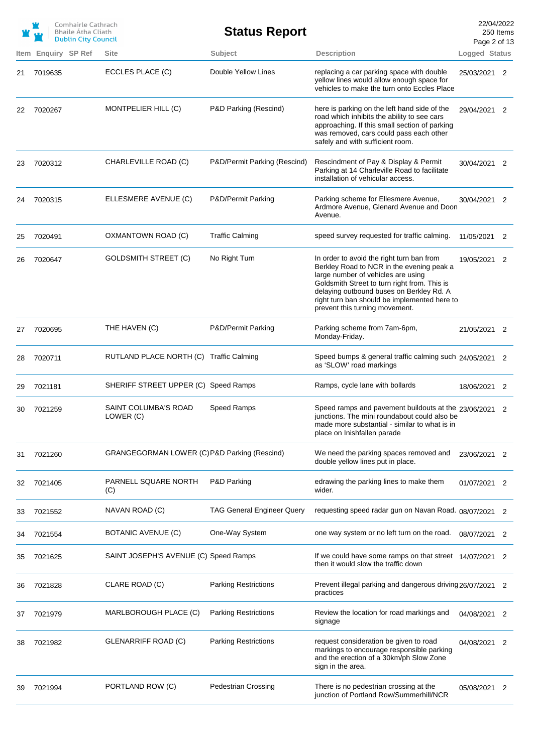|    |         | Comhairle Cathrach<br><b>Bhaile Atha Cliath</b><br><b>Dublin City Council</b> |                                              | <b>Status Report</b>              |                                                                                                                                                                                                                                                                                                            | 22/04/2022<br>Page 2 of 13 | 250 Items                  |
|----|---------|-------------------------------------------------------------------------------|----------------------------------------------|-----------------------------------|------------------------------------------------------------------------------------------------------------------------------------------------------------------------------------------------------------------------------------------------------------------------------------------------------------|----------------------------|----------------------------|
|    |         | Item Enquiry SP Ref                                                           | <b>Site</b>                                  | Subject                           | <b>Description</b>                                                                                                                                                                                                                                                                                         | Logged Status              |                            |
| 21 | 7019635 |                                                                               | ECCLES PLACE (C)                             | Double Yellow Lines               | replacing a car parking space with double<br>yellow lines would allow enough space for<br>vehicles to make the turn onto Eccles Place                                                                                                                                                                      | 25/03/2021 2               |                            |
| 22 | 7020267 |                                                                               | MONTPELIER HILL (C)                          | P&D Parking (Rescind)             | here is parking on the left hand side of the<br>road which inhibits the ability to see cars<br>approaching. If this small section of parking<br>was removed, cars could pass each other<br>safely and with sufficient room.                                                                                | 29/04/2021 2               |                            |
| 23 | 7020312 |                                                                               | CHARLEVILLE ROAD (C)                         | P&D/Permit Parking (Rescind)      | Rescindment of Pay & Display & Permit<br>Parking at 14 Charleville Road to facilitate<br>installation of vehicular access.                                                                                                                                                                                 | 30/04/2021 2               |                            |
| 24 | 7020315 |                                                                               | ELLESMERE AVENUE (C)                         | P&D/Permit Parking                | Parking scheme for Ellesmere Avenue,<br>Ardmore Avenue, Glenard Avenue and Doon<br>Avenue.                                                                                                                                                                                                                 | 30/04/2021 2               |                            |
| 25 | 7020491 |                                                                               | OXMANTOWN ROAD (C)                           | <b>Traffic Calming</b>            | speed survey requested for traffic calming.                                                                                                                                                                                                                                                                | 11/05/2021                 | 2                          |
| 26 | 7020647 |                                                                               | <b>GOLDSMITH STREET (C)</b>                  | No Right Turn                     | In order to avoid the right turn ban from<br>Berkley Road to NCR in the evening peak a<br>large number of vehicles are using<br>Goldsmith Street to turn right from. This is<br>delaying outbound buses on Berkley Rd. A<br>right turn ban should be implemented here to<br>prevent this turning movement. | 19/05/2021 2               |                            |
| 27 | 7020695 |                                                                               | THE HAVEN (C)                                | P&D/Permit Parking                | Parking scheme from 7am-6pm,<br>Monday-Friday.                                                                                                                                                                                                                                                             | 21/05/2021 2               |                            |
| 28 | 7020711 |                                                                               | RUTLAND PLACE NORTH (C) Traffic Calming      |                                   | Speed bumps & general traffic calming such 24/05/2021 2<br>as 'SLOW' road markings                                                                                                                                                                                                                         |                            |                            |
| 29 | 7021181 |                                                                               | SHERIFF STREET UPPER (C) Speed Ramps         |                                   | Ramps, cycle lane with bollards                                                                                                                                                                                                                                                                            | 18/06/2021 2               |                            |
| 30 | 7021259 |                                                                               | <b>SAINT COLUMBA'S ROAD</b><br>LOWER (C)     | Speed Ramps                       | Speed ramps and pavement buildouts at the 23/06/2021 2<br>junctions. The mini roundabout could also be<br>made more substantial - similar to what is in<br>place on Inishfallen parade                                                                                                                     |                            |                            |
| 31 | 7021260 |                                                                               | GRANGEGORMAN LOWER (C) P&D Parking (Rescind) |                                   | We need the parking spaces removed and<br>double yellow lines put in place.                                                                                                                                                                                                                                | 23/06/2021 2               |                            |
| 32 | 7021405 |                                                                               | PARNELL SQUARE NORTH<br>(C)                  | P&D Parking                       | edrawing the parking lines to make them<br>wider.                                                                                                                                                                                                                                                          | 01/07/2021                 | 2                          |
| 33 | 7021552 |                                                                               | NAVAN ROAD (C)                               | <b>TAG General Engineer Query</b> | requesting speed radar gun on Navan Road. 08/07/2021                                                                                                                                                                                                                                                       |                            | 2                          |
| 34 | 7021554 |                                                                               | BOTANIC AVENUE (C)                           | One-Way System                    | one way system or no left turn on the road.                                                                                                                                                                                                                                                                | 08/07/2021                 | 2                          |
| 35 | 7021625 |                                                                               | SAINT JOSEPH'S AVENUE (C) Speed Ramps        |                                   | If we could have some ramps on that street $14/07/2021$ 2<br>then it would slow the traffic down                                                                                                                                                                                                           |                            |                            |
| 36 | 7021828 |                                                                               | CLARE ROAD (C)                               | <b>Parking Restrictions</b>       | Prevent illegal parking and dangerous driving 26/07/2021<br>practices                                                                                                                                                                                                                                      |                            | $\overline{\phantom{0}}^2$ |
| 37 | 7021979 |                                                                               | MARLBOROUGH PLACE (C)                        | <b>Parking Restrictions</b>       | Review the location for road markings and<br>signage                                                                                                                                                                                                                                                       | 04/08/2021                 | 2                          |
| 38 | 7021982 |                                                                               | GLENARRIFF ROAD (C)                          | <b>Parking Restrictions</b>       | request consideration be given to road<br>markings to encourage responsible parking<br>and the erection of a 30km/ph Slow Zone<br>sign in the area.                                                                                                                                                        | 04/08/2021                 | 2                          |
| 39 | 7021994 |                                                                               | PORTLAND ROW (C)                             | <b>Pedestrian Crossing</b>        | There is no pedestrian crossing at the<br>junction of Portland Row/Summerhill/NCR                                                                                                                                                                                                                          | 05/08/2021                 | 2                          |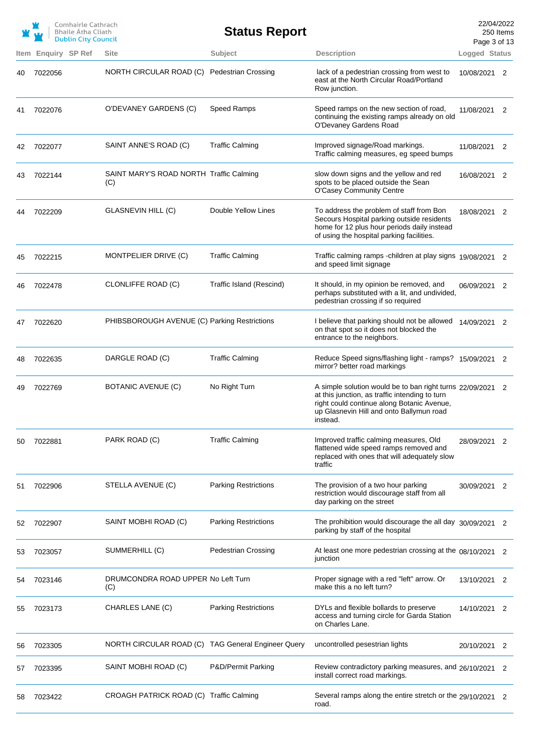|    |                     | Comhairle Cathrach<br><b>Bhaile Atha Cliath</b><br><b>Dublin City Council</b> |                                                    | <b>Status Report</b>        |                                                                                                                                                                                                                  | 22/04/2022<br>Page 3 of 13 | 250 Items      |
|----|---------------------|-------------------------------------------------------------------------------|----------------------------------------------------|-----------------------------|------------------------------------------------------------------------------------------------------------------------------------------------------------------------------------------------------------------|----------------------------|----------------|
|    | Item Enquiry SP Ref |                                                                               | Site                                               | Subject                     | <b>Description</b>                                                                                                                                                                                               | Logged Status              |                |
| 40 | 7022056             |                                                                               | NORTH CIRCULAR ROAD (C)                            | <b>Pedestrian Crossing</b>  | lack of a pedestrian crossing from west to<br>east at the North Circular Road/Portland<br>Row junction.                                                                                                          | 10/08/2021                 | 2              |
| 41 | 7022076             |                                                                               | O'DEVANEY GARDENS (C)                              | Speed Ramps                 | Speed ramps on the new section of road,<br>continuing the existing ramps already on old<br>O'Devaney Gardens Road                                                                                                | 11/08/2021 2               |                |
| 42 | 7022077             |                                                                               | SAINT ANNE'S ROAD (C)                              | <b>Traffic Calming</b>      | Improved signage/Road markings.<br>Traffic calming measures, eg speed bumps                                                                                                                                      | 11/08/2021                 | 2              |
| 43 | 7022144             |                                                                               | SAINT MARY'S ROAD NORTH Traffic Calming<br>(C)     |                             | slow down signs and the yellow and red<br>spots to be placed outside the Sean<br>O'Casey Community Centre                                                                                                        | 16/08/2021 2               |                |
| 44 | 7022209             |                                                                               | GLASNEVIN HILL (C)                                 | Double Yellow Lines         | To address the problem of staff from Bon<br>Secours Hospital parking outside residents<br>home for 12 plus hour periods daily instead<br>of using the hospital parking facilities.                               | 18/08/2021 2               |                |
| 45 | 7022215             |                                                                               | MONTPELIER DRIVE (C)                               | <b>Traffic Calming</b>      | Traffic calming ramps -children at play signs 19/08/2021 2<br>and speed limit signage                                                                                                                            |                            |                |
| 46 | 7022478             |                                                                               | CLONLIFFE ROAD (C)                                 | Traffic Island (Rescind)    | It should, in my opinion be removed, and<br>perhaps substituted with a lit, and undivided,<br>pedestrian crossing if so required                                                                                 | 06/09/2021 2               |                |
| 47 | 7022620             |                                                                               | PHIBSBOROUGH AVENUE (C) Parking Restrictions       |                             | I believe that parking should not be allowed<br>on that spot so it does not blocked the<br>entrance to the neighbors.                                                                                            | 14/09/2021 2               |                |
| 48 | 7022635             |                                                                               | DARGLE ROAD (C)                                    | <b>Traffic Calming</b>      | Reduce Speed signs/flashing light - ramps? 15/09/2021 2<br>mirror? better road markings                                                                                                                          |                            |                |
| 49 | 7022769             |                                                                               | BOTANIC AVENUE (C)                                 | No Right Turn               | A simple solution would be to ban right turns 22/09/2021<br>at this junction, as traffic intending to turn<br>right could continue along Botanic Avenue,<br>up Glasnevin Hill and onto Ballymun road<br>instead. |                            | $\overline{2}$ |
| 50 | 7022881             |                                                                               | PARK ROAD (C)                                      | <b>Traffic Calming</b>      | Improved traffic calming measures, Old<br>flattened wide speed ramps removed and<br>replaced with ones that will adequately slow<br>traffic                                                                      | 28/09/2021                 | 2              |
| 51 | 7022906             |                                                                               | STELLA AVENUE (C)                                  | <b>Parking Restrictions</b> | The provision of a two hour parking<br>restriction would discourage staff from all<br>day parking on the street                                                                                                  | 30/09/2021                 | 2              |
| 52 | 7022907             |                                                                               | SAINT MOBHI ROAD (C)                               | <b>Parking Restrictions</b> | The prohibition would discourage the all day 30/09/2021 2<br>parking by staff of the hospital                                                                                                                    |                            |                |
| 53 | 7023057             |                                                                               | SUMMERHILL (C)                                     | <b>Pedestrian Crossing</b>  | At least one more pedestrian crossing at the 08/10/2021<br>junction                                                                                                                                              |                            | 2              |
| 54 | 7023146             |                                                                               | DRUMCONDRA ROAD UPPER No Left Turn<br>(C)          |                             | Proper signage with a red "left" arrow. Or<br>make this a no left turn?                                                                                                                                          | 13/10/2021                 | 2              |
| 55 | 7023173             |                                                                               | CHARLES LANE (C)                                   | <b>Parking Restrictions</b> | DYLs and flexible bollards to preserve<br>access and turning circle for Garda Station<br>on Charles Lane.                                                                                                        | 14/10/2021                 | 2              |
| 56 | 7023305             |                                                                               | NORTH CIRCULAR ROAD (C) TAG General Engineer Query |                             | uncontrolled pesestrian lights                                                                                                                                                                                   | 20/10/2021                 | 2              |
| 57 | 7023395             |                                                                               | SAINT MOBHI ROAD (C)                               | P&D/Permit Parking          | Review contradictory parking measures, and 26/10/2021<br>install correct road markings.                                                                                                                          |                            | 2              |
| 58 | 7023422             |                                                                               | CROAGH PATRICK ROAD (C) Traffic Calming            |                             | Several ramps along the entire stretch or the 29/10/2021 2<br>road.                                                                                                                                              |                            |                |
|    |                     |                                                                               |                                                    |                             |                                                                                                                                                                                                                  |                            |                |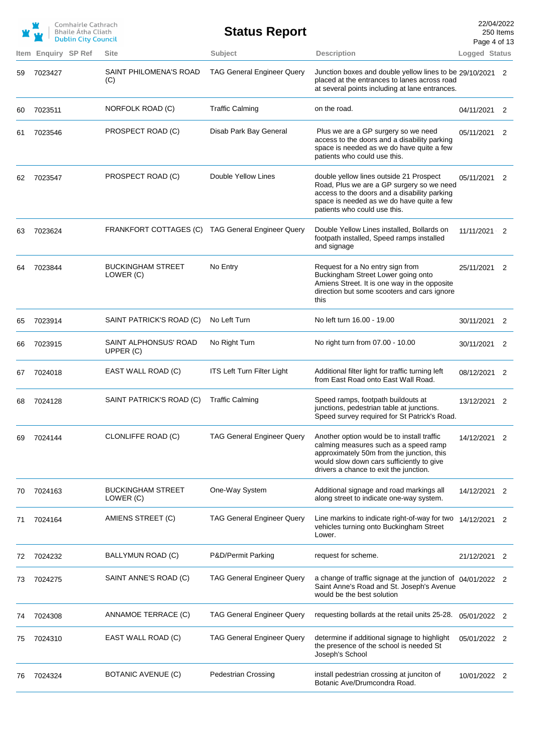|      |                | Comhairle Cathrach<br><b>Bhaile Atha Cliath</b><br><b>Dublin City Council</b> |                                                   | <b>Status Report</b>              |                                                                                                                                                                                                                         | 22/04/2022<br>Page 4 of 13 | 250 Items                  |
|------|----------------|-------------------------------------------------------------------------------|---------------------------------------------------|-----------------------------------|-------------------------------------------------------------------------------------------------------------------------------------------------------------------------------------------------------------------------|----------------------------|----------------------------|
| Item | Enquiry SP Ref |                                                                               | <b>Site</b>                                       | Subject                           | <b>Description</b>                                                                                                                                                                                                      | Logged Status              |                            |
| 59   | 7023427        |                                                                               | SAINT PHILOMENA'S ROAD<br>(C)                     | <b>TAG General Engineer Query</b> | Junction boxes and double yellow lines to be 29/10/2021 2<br>placed at the entrances to lanes across road<br>at several points including at lane entrances.                                                             |                            |                            |
| 60   | 7023511        |                                                                               | NORFOLK ROAD (C)                                  | <b>Traffic Calming</b>            | on the road.                                                                                                                                                                                                            | 04/11/2021 2               |                            |
| 61   | 7023546        |                                                                               | PROSPECT ROAD (C)                                 | Disab Park Bay General            | Plus we are a GP surgery so we need<br>access to the doors and a disability parking<br>space is needed as we do have quite a few<br>patients who could use this.                                                        | 05/11/2021 2               |                            |
| 62   | 7023547        |                                                                               | PROSPECT ROAD (C)                                 | Double Yellow Lines               | double yellow lines outside 21 Prospect<br>Road, Plus we are a GP surgery so we need<br>access to the doors and a disability parking<br>space is needed as we do have quite a few<br>patients who could use this.       | 05/11/2021                 | 2                          |
| 63   | 7023624        |                                                                               | FRANKFORT COTTAGES (C) TAG General Engineer Query |                                   | Double Yellow Lines installed, Bollards on<br>footpath installed, Speed ramps installed<br>and signage                                                                                                                  | 11/11/2021 2               |                            |
| 64   | 7023844        |                                                                               | <b>BUCKINGHAM STREET</b><br>LOWER (C)             | No Entry                          | Request for a No entry sign from<br>Buckingham Street Lower going onto<br>Amiens Street. It is one way in the opposite<br>direction but some scooters and cars ignore<br>this                                           | 25/11/2021                 | $\overline{\phantom{0}}^2$ |
| 65   | 7023914        |                                                                               | SAINT PATRICK'S ROAD (C)                          | No Left Turn                      | No left turn 16.00 - 19.00                                                                                                                                                                                              | 30/11/2021                 | 2                          |
| 66   | 7023915        |                                                                               | SAINT ALPHONSUS' ROAD<br>UPPER (C)                | No Right Turn                     | No right turn from 07.00 - 10.00                                                                                                                                                                                        | 30/11/2021                 | 2                          |
| 67   | 7024018        |                                                                               | EAST WALL ROAD (C)                                | ITS Left Turn Filter Light        | Additional filter light for traffic turning left<br>from East Road onto East Wall Road.                                                                                                                                 | 08/12/2021 2               |                            |
| 68   | 7024128        |                                                                               | SAINT PATRICK'S ROAD (C)                          | <b>Traffic Calming</b>            | Speed ramps, footpath buildouts at<br>junctions, pedestrian table at junctions.<br>Speed survey required for St Patrick's Road.                                                                                         | 13/12/2021 2               |                            |
| 69   | 7024144        |                                                                               | CLONLIFFE ROAD (C)                                | <b>TAG General Engineer Query</b> | Another option would be to install traffic<br>calming measures such as a speed ramp<br>approximately 50m from the junction, this<br>would slow down cars sufficiently to give<br>drivers a chance to exit the junction. | 14/12/2021                 | 2                          |
| 70   | 7024163        |                                                                               | <b>BUCKINGHAM STREET</b><br>LOWER (C)             | One-Way System                    | Additional signage and road markings all<br>along street to indicate one-way system.                                                                                                                                    | 14/12/2021 2               |                            |
| 71   | 7024164        |                                                                               | AMIENS STREET (C)                                 | <b>TAG General Engineer Query</b> | Line markins to indicate right-of-way for two<br>vehicles turning onto Buckingham Street<br>Lower.                                                                                                                      | 14/12/2021                 | 2                          |
| 72   | 7024232        |                                                                               | BALLYMUN ROAD (C)                                 | P&D/Permit Parking                | request for scheme.                                                                                                                                                                                                     | 21/12/2021                 | 2                          |
| 73   | 7024275        |                                                                               | SAINT ANNE'S ROAD (C)                             | <b>TAG General Engineer Query</b> | a change of traffic signage at the junction of $04/01/2022$ 2<br>Saint Anne's Road and St. Joseph's Avenue<br>would be the best solution                                                                                |                            |                            |
| 74   | 7024308        |                                                                               | ANNAMOE TERRACE (C)                               | <b>TAG General Engineer Query</b> | requesting bollards at the retail units 25-28.                                                                                                                                                                          | 05/01/2022 2               |                            |
| 75   | 7024310        |                                                                               | EAST WALL ROAD (C)                                | <b>TAG General Engineer Query</b> | determine if additional signage to highlight<br>the presence of the school is needed St<br>Joseph's School                                                                                                              | 05/01/2022 2               |                            |
| 76   | 7024324        |                                                                               | BOTANIC AVENUE (C)                                | <b>Pedestrian Crossing</b>        | install pedestrian crossing at junciton of<br>Botanic Ave/Drumcondra Road.                                                                                                                                              | 10/01/2022 2               |                            |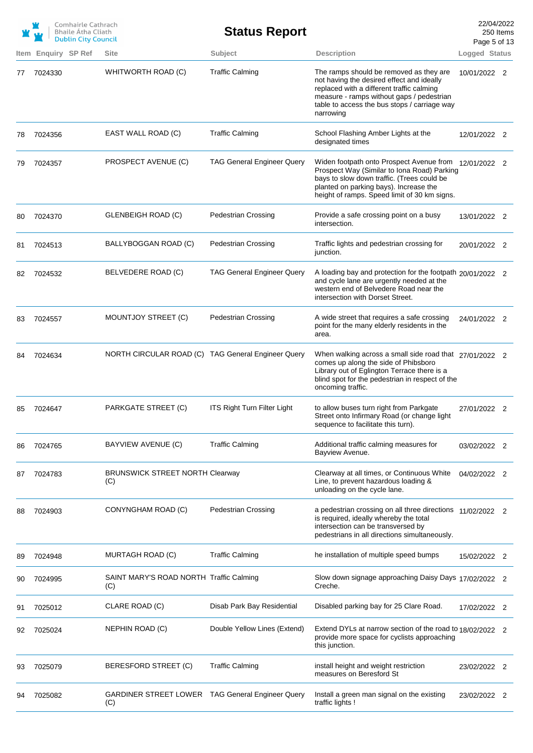|      |                | Comhairle Cathrach<br><b>Bhaile Atha Cliath</b><br><b>Dublin City Council</b> |                                                          | <b>Status Report</b>               |                                                                                                                                                                                                                                              | 22/04/2022<br>Page 5 of 13 | 250 Items |
|------|----------------|-------------------------------------------------------------------------------|----------------------------------------------------------|------------------------------------|----------------------------------------------------------------------------------------------------------------------------------------------------------------------------------------------------------------------------------------------|----------------------------|-----------|
| Item | Enquiry SP Ref |                                                                               | <b>Site</b>                                              | Subject                            | <b>Description</b>                                                                                                                                                                                                                           | Logged Status              |           |
| 77   | 7024330        |                                                                               | WHITWORTH ROAD (C)                                       | <b>Traffic Calming</b>             | The ramps should be removed as they are<br>not having the desired effect and ideally<br>replaced with a different traffic calming<br>measure - ramps without gaps / pedestrian<br>table to access the bus stops / carriage way<br>narrowing  | 10/01/2022 2               |           |
| 78   | 7024356        |                                                                               | EAST WALL ROAD (C)                                       | <b>Traffic Calming</b>             | School Flashing Amber Lights at the<br>designated times                                                                                                                                                                                      | 12/01/2022 2               |           |
| 79   | 7024357        |                                                                               | PROSPECT AVENUE (C)                                      | <b>TAG General Engineer Query</b>  | Widen footpath onto Prospect Avenue from 12/01/2022 2<br>Prospect Way (Similar to Iona Road) Parking<br>bays to slow down traffic. (Trees could be<br>planted on parking bays). Increase the<br>height of ramps. Speed limit of 30 km signs. |                            |           |
| 80   | 7024370        |                                                                               | <b>GLENBEIGH ROAD (C)</b>                                | <b>Pedestrian Crossing</b>         | Provide a safe crossing point on a busy<br>intersection.                                                                                                                                                                                     | 13/01/2022 2               |           |
| 81   | 7024513        |                                                                               | BALLYBOGGAN ROAD (C)                                     | <b>Pedestrian Crossing</b>         | Traffic lights and pedestrian crossing for<br>junction.                                                                                                                                                                                      | 20/01/2022 2               |           |
| 82   | 7024532        |                                                                               | BELVEDERE ROAD (C)                                       | <b>TAG General Engineer Query</b>  | A loading bay and protection for the footpath 20/01/2022 2<br>and cycle lane are urgently needed at the<br>western end of Belvedere Road near the<br>intersection with Dorset Street.                                                        |                            |           |
| 83   | 7024557        |                                                                               | MOUNTJOY STREET (C)                                      | <b>Pedestrian Crossing</b>         | A wide street that requires a safe crossing<br>point for the many elderly residents in the<br>area.                                                                                                                                          | 24/01/2022 2               |           |
| 84   | 7024634        |                                                                               | NORTH CIRCULAR ROAD (C) TAG General Engineer Query       |                                    | When walking across a small side road that 27/01/2022 2<br>comes up along the side of Phibsboro<br>Library out of Eglington Terrace there is a<br>blind spot for the pedestrian in respect of the<br>oncoming traffic.                       |                            |           |
| 85   | 7024647        |                                                                               | PARKGATE STREET (C)                                      | <b>ITS Right Turn Filter Light</b> | to allow buses turn right from Parkgate<br>Street onto Infirmary Road (or change light<br>sequence to facilitate this turn).                                                                                                                 | 27/01/2022 2               |           |
| 86   | 7024765        |                                                                               | BAYVIEW AVENUE (C)                                       | <b>Traffic Calming</b>             | Additional traffic calming measures for<br>Bayview Avenue.                                                                                                                                                                                   | 03/02/2022 2               |           |
| 87   | 7024783        |                                                                               | <b>BRUNSWICK STREET NORTH Clearway</b><br>(C)            |                                    | Clearway at all times, or Continuous White<br>Line, to prevent hazardous loading &<br>unloading on the cycle lane.                                                                                                                           | 04/02/2022 2               |           |
| 88   | 7024903        |                                                                               | CONYNGHAM ROAD (C)                                       | <b>Pedestrian Crossing</b>         | a pedestrian crossing on all three directions 11/02/2022 2<br>is required, ideally whereby the total<br>intersection can be transversed by<br>pedestrians in all directions simultaneously.                                                  |                            |           |
| 89   | 7024948        |                                                                               | MURTAGH ROAD (C)                                         | <b>Traffic Calming</b>             | he installation of multiple speed bumps                                                                                                                                                                                                      | 15/02/2022 2               |           |
| 90   | 7024995        |                                                                               | SAINT MARY'S ROAD NORTH Traffic Calming<br>(C)           |                                    | Slow down signage approaching Daisy Days 17/02/2022 2<br>Creche.                                                                                                                                                                             |                            |           |
| 91   | 7025012        |                                                                               | CLARE ROAD (C)                                           | Disab Park Bay Residential         | Disabled parking bay for 25 Clare Road.                                                                                                                                                                                                      | 17/02/2022 2               |           |
| 92   | 7025024        |                                                                               | NEPHIN ROAD (C)                                          | Double Yellow Lines (Extend)       | Extend DYLs at narrow section of the road to 18/02/2022 2<br>provide more space for cyclists approaching<br>this junction.                                                                                                                   |                            |           |
| 93   | 7025079        |                                                                               | BERESFORD STREET (C)                                     | <b>Traffic Calming</b>             | install height and weight restriction<br>measures on Beresford St                                                                                                                                                                            | 23/02/2022 2               |           |
|      | 7025082        |                                                                               | GARDINER STREET LOWER  TAG General Engineer Query<br>(C) |                                    | Install a green man signal on the existing<br>traffic lights !                                                                                                                                                                               | 23/02/2022 2               |           |
|      |                |                                                                               |                                                          |                                    |                                                                                                                                                                                                                                              |                            |           |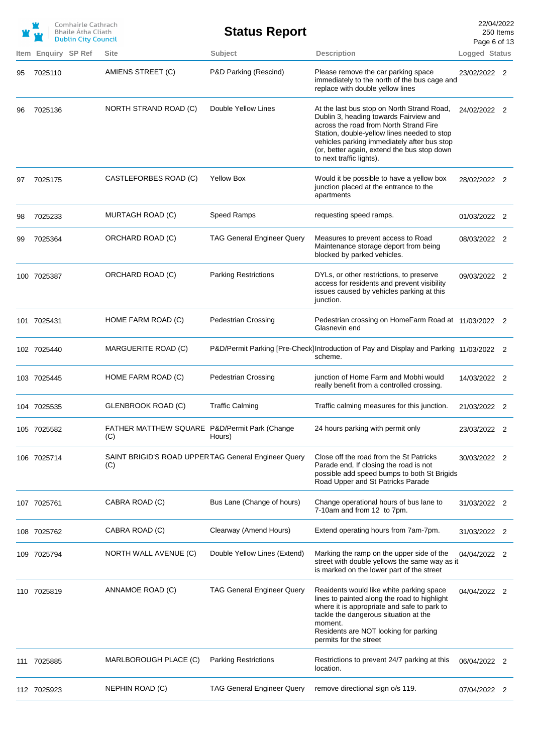|     |                     | Comhairle Cathrach<br><b>Bhaile Atha Cliath</b><br><b>Dublin City Council</b> |                                                            | <b>Status Report</b>              |                                                                                                                                                                                                                                                                                                         | 22/04/2022<br>Page 6 of 13 | 250 Items |
|-----|---------------------|-------------------------------------------------------------------------------|------------------------------------------------------------|-----------------------------------|---------------------------------------------------------------------------------------------------------------------------------------------------------------------------------------------------------------------------------------------------------------------------------------------------------|----------------------------|-----------|
|     | Item Enquiry SP Ref |                                                                               | <b>Site</b>                                                | Subject                           | <b>Description</b>                                                                                                                                                                                                                                                                                      | Logged Status              |           |
| 95  | 7025110             |                                                                               | AMIENS STREET (C)                                          | P&D Parking (Rescind)             | Please remove the car parking space<br>immediately to the north of the bus cage and<br>replace with double yellow lines                                                                                                                                                                                 | 23/02/2022 2               |           |
| 96  | 7025136             |                                                                               | NORTH STRAND ROAD (C)                                      | Double Yellow Lines               | At the last bus stop on North Strand Road,<br>Dublin 3, heading towards Fairview and<br>across the road from North Strand Fire<br>Station, double-yellow lines needed to stop<br>vehicles parking immediately after bus stop<br>(or, better again, extend the bus stop down<br>to next traffic lights). | 24/02/2022 2               |           |
| 97  | 7025175             |                                                                               | CASTLEFORBES ROAD (C)                                      | <b>Yellow Box</b>                 | Would it be possible to have a yellow box<br>junction placed at the entrance to the<br>apartments                                                                                                                                                                                                       | 28/02/2022 2               |           |
| 98  | 7025233             |                                                                               | MURTAGH ROAD (C)                                           | Speed Ramps                       | requesting speed ramps.                                                                                                                                                                                                                                                                                 | 01/03/2022 2               |           |
| 99  | 7025364             |                                                                               | ORCHARD ROAD (C)                                           | <b>TAG General Engineer Query</b> | Measures to prevent access to Road<br>Maintenance storage deport from being<br>blocked by parked vehicles.                                                                                                                                                                                              | 08/03/2022 2               |           |
|     | 100 7025387         |                                                                               | ORCHARD ROAD (C)                                           | <b>Parking Restrictions</b>       | DYLs, or other restrictions, to preserve<br>access for residents and prevent visibility<br>issues caused by vehicles parking at this<br>junction.                                                                                                                                                       | 09/03/2022 2               |           |
|     | 101 7025431         |                                                                               | HOME FARM ROAD (C)                                         | <b>Pedestrian Crossing</b>        | Pedestrian crossing on HomeFarm Road at 11/03/2022 2<br>Glasnevin end                                                                                                                                                                                                                                   |                            |           |
|     | 102 7025440         |                                                                               | MARGUERITE ROAD (C)                                        |                                   | P&D/Permit Parking [Pre-Check] Introduction of Pay and Display and Parking 11/03/2022 2<br>scheme.                                                                                                                                                                                                      |                            |           |
|     | 103 7025445         |                                                                               | HOME FARM ROAD (C)                                         | <b>Pedestrian Crossing</b>        | junction of Home Farm and Mobhi would<br>really benefit from a controlled crossing.                                                                                                                                                                                                                     | 14/03/2022 2               |           |
|     | 104 7025535         |                                                                               | <b>GLENBROOK ROAD (C)</b>                                  | <b>Traffic Calming</b>            | Traffic calming measures for this junction.                                                                                                                                                                                                                                                             | 21/03/2022 2               |           |
|     | 105 7025582         |                                                                               | FATHER MATTHEW SQUARE P&D/Permit Park (Change<br>(C)       | Hours)                            | 24 hours parking with permit only                                                                                                                                                                                                                                                                       | 23/03/2022 2               |           |
|     | 106 7025714         |                                                                               | SAINT BRIGID'S ROAD UPPERTAG General Engineer Query<br>(C) |                                   | Close off the road from the St Patricks<br>Parade end, If closing the road is not<br>possible add speed bumps to both St Brigids<br>Road Upper and St Patricks Parade                                                                                                                                   | 30/03/2022 2               |           |
|     | 107 7025761         |                                                                               | CABRA ROAD (C)                                             | Bus Lane (Change of hours)        | Change operational hours of bus lane to<br>7-10am and from 12 to 7pm.                                                                                                                                                                                                                                   | 31/03/2022 2               |           |
|     | 108 7025762         |                                                                               | CABRA ROAD (C)                                             | Clearway (Amend Hours)            | Extend operating hours from 7am-7pm.                                                                                                                                                                                                                                                                    | 31/03/2022 2               |           |
|     | 109 7025794         |                                                                               | NORTH WALL AVENUE (C)                                      | Double Yellow Lines (Extend)      | Marking the ramp on the upper side of the<br>street with double yellows the same way as it<br>is marked on the lower part of the street                                                                                                                                                                 | 04/04/2022 2               |           |
|     | 110 7025819         |                                                                               | ANNAMOE ROAD (C)                                           | <b>TAG General Engineer Query</b> | Reaidents would like white parking space<br>lines to painted along the road to highlight<br>where it is appropriate and safe to park to<br>tackle the dangerous situation at the<br>moment.<br>Residents are NOT looking for parking<br>permits for the street                                          | 04/04/2022 2               |           |
| 111 | 7025885             |                                                                               | MARLBOROUGH PLACE (C)                                      | <b>Parking Restrictions</b>       | Restrictions to prevent 24/7 parking at this<br>location.                                                                                                                                                                                                                                               | 06/04/2022 2               |           |
|     | 112 7025923         |                                                                               | NEPHIN ROAD (C)                                            | <b>TAG General Engineer Query</b> | remove directional sign o/s 119.                                                                                                                                                                                                                                                                        | 07/04/2022 2               |           |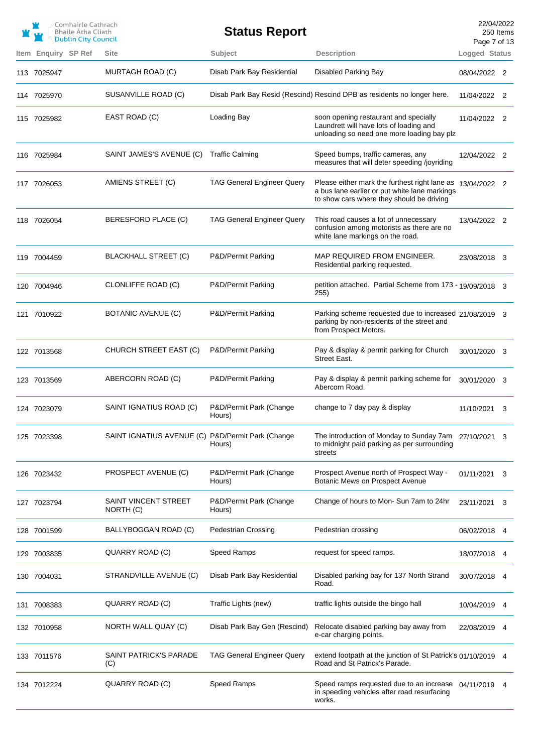|                     | Comhairle Cathrach<br><b>Bhaile Átha Cliath</b><br><b>Dublin City Council</b> |                                                   | <b>Status Report</b>              |                                                                                                                                                          | 22/04/2022<br>Page 7 of 13 | 250 Items |
|---------------------|-------------------------------------------------------------------------------|---------------------------------------------------|-----------------------------------|----------------------------------------------------------------------------------------------------------------------------------------------------------|----------------------------|-----------|
| Item Enquiry SP Ref |                                                                               | <b>Site</b>                                       | Subject                           | <b>Description</b>                                                                                                                                       | Logged Status              |           |
| 113 7025947         |                                                                               | MURTAGH ROAD (C)                                  | Disab Park Bay Residential        | Disabled Parking Bay                                                                                                                                     | 08/04/2022 2               |           |
| 114 7025970         |                                                                               | SUSANVILLE ROAD (C)                               |                                   | Disab Park Bay Resid (Rescind) Rescind DPB as residents no longer here.                                                                                  | 11/04/2022 2               |           |
| 115 7025982         |                                                                               | EAST ROAD (C)                                     | Loading Bay                       | soon opening restaurant and specially<br>Laundrett will have lots of loading and<br>unloading so need one more loading bay plz                           | 11/04/2022 2               |           |
| 116 7025984         |                                                                               | SAINT JAMES'S AVENUE (C)                          | <b>Traffic Calming</b>            | Speed bumps, traffic cameras, any<br>measures that will deter speeding /joyriding                                                                        | 12/04/2022 2               |           |
| 117 7026053         |                                                                               | AMIENS STREET (C)                                 | <b>TAG General Engineer Query</b> | Please either mark the furthest right lane as 13/04/2022 2<br>a bus lane earlier or put white lane markings<br>to show cars where they should be driving |                            |           |
| 118 7026054         |                                                                               | BERESFORD PLACE (C)                               | <b>TAG General Engineer Query</b> | This road causes a lot of unnecessary<br>confusion among motorists as there are no<br>white lane markings on the road.                                   | 13/04/2022 2               |           |
| 119 7004459         |                                                                               | <b>BLACKHALL STREET (C)</b>                       | P&D/Permit Parking                | MAP REQUIRED FROM ENGINEER.<br>Residential parking requested.                                                                                            | 23/08/2018 3               |           |
| 120 7004946         |                                                                               | CLONLIFFE ROAD (C)                                | P&D/Permit Parking                | petition attached. Partial Scheme from 173 - 19/09/2018 3<br>255)                                                                                        |                            |           |
| 121 7010922         |                                                                               | BOTANIC AVENUE (C)                                | P&D/Permit Parking                | Parking scheme requested due to increased 21/08/2019 3<br>parking by non-residents of the street and<br>from Prospect Motors.                            |                            |           |
| 122 7013568         |                                                                               | CHURCH STREET EAST (C)                            | P&D/Permit Parking                | Pay & display & permit parking for Church<br>Street East.                                                                                                | 30/01/2020 3               |           |
| 123 7013569         |                                                                               | ABERCORN ROAD (C)                                 | P&D/Permit Parking                | Pay & display & permit parking scheme for<br>Abercorn Road.                                                                                              | 30/01/2020 3               |           |
| 124 7023079         |                                                                               | SAINT IGNATIUS ROAD (C)                           | P&D/Permit Park (Change<br>Hours) | change to 7 day pay & display                                                                                                                            | 11/10/2021                 | - 3       |
| 125 7023398         |                                                                               | SAINT IGNATIUS AVENUE (C) P&D/Permit Park (Change | Hours)                            | The introduction of Monday to Sunday 7am<br>to midnight paid parking as per surrounding<br>streets                                                       | 27/10/2021                 | 3         |
| 126 7023432         |                                                                               | PROSPECT AVENUE (C)                               | P&D/Permit Park (Change<br>Hours) | Prospect Avenue north of Prospect Way -<br>Botanic Mews on Prospect Avenue                                                                               | 01/11/2021 3               |           |
| 127 7023794         |                                                                               | SAINT VINCENT STREET<br>NORTH (C)                 | P&D/Permit Park (Change<br>Hours) | Change of hours to Mon- Sun 7am to 24hr                                                                                                                  | 23/11/2021                 | 3         |
| 128 7001599         |                                                                               | BALLYBOGGAN ROAD (C)                              | <b>Pedestrian Crossing</b>        | Pedestrian crossing                                                                                                                                      | 06/02/2018 4               |           |
| 129 7003835         |                                                                               | QUARRY ROAD (C)                                   | Speed Ramps                       | request for speed ramps.                                                                                                                                 | 18/07/2018 4               |           |
| 130 7004031         |                                                                               | STRANDVILLE AVENUE (C)                            | Disab Park Bay Residential        | Disabled parking bay for 137 North Strand<br>Road.                                                                                                       | 30/07/2018 4               |           |
| 131 7008383         |                                                                               | QUARRY ROAD (C)                                   | Traffic Lights (new)              | traffic lights outside the bingo hall                                                                                                                    | 10/04/2019                 | 4         |
| 132 7010958         |                                                                               | NORTH WALL QUAY (C)                               | Disab Park Bay Gen (Rescind)      | Relocate disabled parking bay away from<br>e-car charging points.                                                                                        | 22/08/2019                 | 4         |
| 133 7011576         |                                                                               | SAINT PATRICK'S PARADE<br>(C)                     | <b>TAG General Engineer Query</b> | extend footpath at the junction of St Patrick's 01/10/2019 4<br>Road and St Patrick's Parade.                                                            |                            |           |
| 134 7012224         |                                                                               | QUARRY ROAD (C)                                   | Speed Ramps                       | Speed ramps requested due to an increase 04/11/2019<br>in speeding vehicles after road resurfacing<br>works.                                             |                            |           |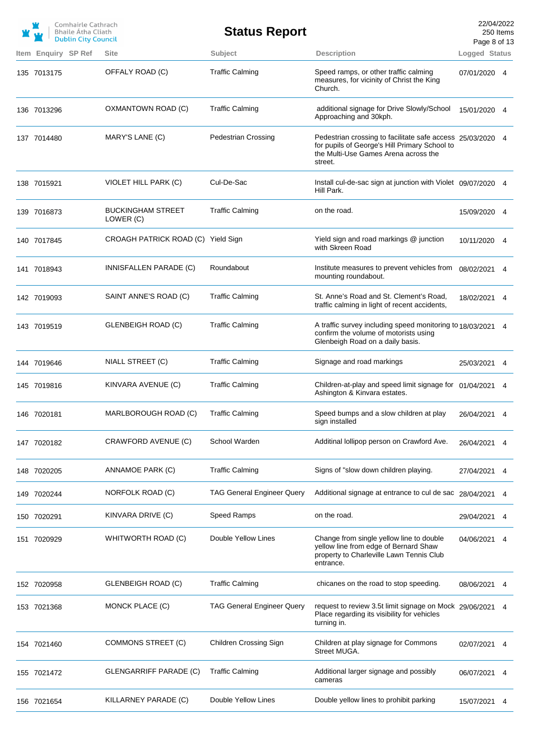|                     | Comhairle Cathrach<br>Bhaile Átha Cliath<br><b>Dublin City Council</b> |                                       | <b>Status Report</b>              |                                                                                                                                                                | 22/04/2022<br>Page 8 of 13 | 250 Items |
|---------------------|------------------------------------------------------------------------|---------------------------------------|-----------------------------------|----------------------------------------------------------------------------------------------------------------------------------------------------------------|----------------------------|-----------|
| Item Enquiry SP Ref |                                                                        | <b>Site</b>                           | Subject                           | <b>Description</b>                                                                                                                                             | Logged Status              |           |
| 135 7013175         |                                                                        | OFFALY ROAD (C)                       | <b>Traffic Calming</b>            | Speed ramps, or other traffic calming<br>measures, for vicinity of Christ the King<br>Church.                                                                  | 07/01/2020 4               |           |
| 136 7013296         |                                                                        | OXMANTOWN ROAD (C)                    | <b>Traffic Calming</b>            | additional signage for Drive Slowly/School<br>Approaching and 30kph.                                                                                           | 15/01/2020 4               |           |
| 137 7014480         |                                                                        | MARY'S LANE (C)                       | <b>Pedestrian Crossing</b>        | Pedestrian crossing to facilitate safe access 25/03/2020 4<br>for pupils of George's Hill Primary School to<br>the Multi-Use Games Arena across the<br>street. |                            |           |
| 138 7015921         |                                                                        | VIOLET HILL PARK (C)                  | Cul-De-Sac                        | Install cul-de-sac sign at junction with Violet 09/07/2020 4<br>Hill Park.                                                                                     |                            |           |
| 139 7016873         |                                                                        | <b>BUCKINGHAM STREET</b><br>LOWER (C) | <b>Traffic Calming</b>            | on the road.                                                                                                                                                   | 15/09/2020 4               |           |
| 140 7017845         |                                                                        | CROAGH PATRICK ROAD (C) Yield Sign    |                                   | Yield sign and road markings @ junction<br>with Skreen Road                                                                                                    | 10/11/2020 4               |           |
| 141 7018943         |                                                                        | INNISFALLEN PARADE (C)                | Roundabout                        | Institute measures to prevent vehicles from<br>mounting roundabout.                                                                                            | 08/02/2021                 | 4         |
| 142 7019093         |                                                                        | SAINT ANNE'S ROAD (C)                 | <b>Traffic Calming</b>            | St. Anne's Road and St. Clement's Road,<br>traffic calming in light of recent accidents,                                                                       | 18/02/2021 4               |           |
| 143 7019519         |                                                                        | <b>GLENBEIGH ROAD (C)</b>             | <b>Traffic Calming</b>            | A traffic survey including speed monitoring to 18/03/2021 4<br>confirm the volume of motorists using<br>Glenbeigh Road on a daily basis.                       |                            |           |
| 144 7019646         |                                                                        | NIALL STREET (C)                      | <b>Traffic Calming</b>            | Signage and road markings                                                                                                                                      | 25/03/2021 4               |           |
| 145 7019816         |                                                                        | KINVARA AVENUE (C)                    | <b>Traffic Calming</b>            | Children-at-play and speed limit signage for 01/04/2021 4<br>Ashington & Kinvara estates.                                                                      |                            |           |
| 146 7020181         |                                                                        | MARLBOROUGH ROAD (C)                  | <b>Traffic Calming</b>            | Speed bumps and a slow children at play<br>sign installed                                                                                                      | 26/04/2021 4               |           |
| 147 7020182         |                                                                        | CRAWFORD AVENUE (C)                   | School Warden                     | Additinal lollipop person on Crawford Ave.                                                                                                                     | 26/04/2021                 | 4         |
| 148 7020205         |                                                                        | ANNAMOE PARK (C)                      | <b>Traffic Calming</b>            | Signs of "slow down children playing.                                                                                                                          | 27/04/2021                 | 4         |
| 149 7020244         |                                                                        | NORFOLK ROAD (C)                      | <b>TAG General Engineer Query</b> | Additional signage at entrance to cul de sac 28/04/2021                                                                                                        |                            | 4         |
| 150 7020291         |                                                                        | KINVARA DRIVE (C)                     | Speed Ramps                       | on the road.                                                                                                                                                   | 29/04/2021                 | 4         |
| 151 7020929         |                                                                        | WHITWORTH ROAD (C)                    | Double Yellow Lines               | Change from single yellow line to double<br>yellow line from edge of Bernard Shaw<br>property to Charleville Lawn Tennis Club<br>entrance.                     | 04/06/2021                 | 4         |
| 152 7020958         |                                                                        | <b>GLENBEIGH ROAD (C)</b>             | <b>Traffic Calming</b>            | chicanes on the road to stop speeding.                                                                                                                         | 08/06/2021                 | 4         |
| 153 7021368         |                                                                        | MONCK PLACE (C)                       | <b>TAG General Engineer Query</b> | request to review 3.5t limit signage on Mock 29/06/2021<br>Place regarding its visibility for vehicles<br>turning in.                                          |                            | 4         |
| 154 7021460         |                                                                        | COMMONS STREET (C)                    | Children Crossing Sign            | Children at play signage for Commons<br>Street MUGA.                                                                                                           | 02/07/2021                 | 4         |
| 155 7021472         |                                                                        | <b>GLENGARRIFF PARADE (C)</b>         | <b>Traffic Calming</b>            | Additional larger signage and possibly<br>cameras                                                                                                              | 06/07/2021                 | 4         |
| 156 7021654         |                                                                        | KILLARNEY PARADE (C)                  | Double Yellow Lines               | Double yellow lines to prohibit parking                                                                                                                        | 15/07/2021                 | 4         |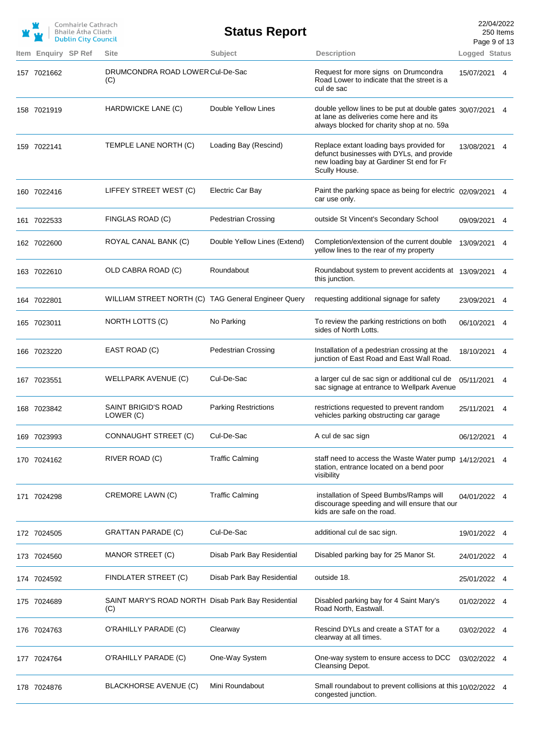|                     | Comhairle Cathrach<br><b>Bhaile Atha Cliath</b><br><b>Dublin City Council</b> |                                                           | <b>Status Report</b>         |                                                                                                                                                     | 22/04/2022<br>Page 9 of 13 | 250 Items |
|---------------------|-------------------------------------------------------------------------------|-----------------------------------------------------------|------------------------------|-----------------------------------------------------------------------------------------------------------------------------------------------------|----------------------------|-----------|
| Item Enquiry SP Ref |                                                                               | <b>Site</b>                                               | Subject                      | <b>Description</b>                                                                                                                                  | Logged Status              |           |
| 157 7021662         |                                                                               | DRUMCONDRA ROAD LOWER Cul-De-Sac<br>(C)                   |                              | Request for more signs on Drumcondra<br>Road Lower to indicate that the street is a<br>cul de sac                                                   | 15/07/2021 4               |           |
| 158 7021919         |                                                                               | HARDWICKE LANE (C)                                        | Double Yellow Lines          | double yellow lines to be put at double gates 30/07/2021 4<br>at lane as deliveries come here and its<br>always blocked for charity shop at no. 59a |                            |           |
| 159 7022141         |                                                                               | TEMPLE LANE NORTH (C)                                     | Loading Bay (Rescind)        | Replace extant loading bays provided for<br>defunct businesses with DYLs, and provide<br>new loading bay at Gardiner St end for Fr<br>Scully House. | 13/08/2021 4               |           |
| 160 7022416         |                                                                               | LIFFEY STREET WEST (C)                                    | <b>Electric Car Bay</b>      | Paint the parking space as being for electric 02/09/2021 4<br>car use only.                                                                         |                            |           |
| 161 7022533         |                                                                               | FINGLAS ROAD (C)                                          | <b>Pedestrian Crossing</b>   | outside St Vincent's Secondary School                                                                                                               | 09/09/2021                 | 4         |
| 162 7022600         |                                                                               | ROYAL CANAL BANK (C)                                      | Double Yellow Lines (Extend) | Completion/extension of the current double<br>yellow lines to the rear of my property                                                               | 13/09/2021                 | 4         |
| 163 7022610         |                                                                               | OLD CABRA ROAD (C)                                        | Roundabout                   | Roundabout system to prevent accidents at 13/09/2021<br>this junction.                                                                              |                            | 4         |
| 164 7022801         |                                                                               | WILLIAM STREET NORTH (C) TAG General Engineer Query       |                              | requesting additional signage for safety                                                                                                            | 23/09/2021                 | 4         |
| 165 7023011         |                                                                               | NORTH LOTTS (C)                                           | No Parking                   | To review the parking restrictions on both<br>sides of North Lotts.                                                                                 | 06/10/2021                 | 4         |
| 166 7023220         |                                                                               | EAST ROAD (C)                                             | <b>Pedestrian Crossing</b>   | Installation of a pedestrian crossing at the<br>junction of East Road and East Wall Road.                                                           | 18/10/2021 4               |           |
| 167 7023551         |                                                                               | WELLPARK AVENUE (C)                                       | Cul-De-Sac                   | a larger cul de sac sign or additional cul de<br>sac signage at entrance to Wellpark Avenue                                                         | 05/11/2021 4               |           |
| 168 7023842         |                                                                               | SAINT BRIGID'S ROAD<br>LOWER (C)                          | <b>Parking Restrictions</b>  | restrictions requested to prevent random<br>vehicles parking obstructing car garage                                                                 | 25/11/2021 4               |           |
| 169 7023993         |                                                                               | CONNAUGHT STREET (C)                                      | Cul-De-Sac                   | A cul de sac sign                                                                                                                                   | 06/12/2021                 | 4         |
| 170 7024162         |                                                                               | RIVER ROAD (C)                                            | <b>Traffic Calming</b>       | staff need to access the Waste Water pump 14/12/2021<br>station, entrance located on a bend poor<br>visibility                                      |                            |           |
| 171 7024298         |                                                                               | <b>CREMORE LAWN (C)</b>                                   | <b>Traffic Calming</b>       | installation of Speed Bumbs/Ramps will<br>discourage speeding and will ensure that our<br>kids are safe on the road.                                | 04/01/2022 4               |           |
| 172 7024505         |                                                                               | <b>GRATTAN PARADE (C)</b>                                 | Cul-De-Sac                   | additional cul de sac sign.                                                                                                                         | 19/01/2022 4               |           |
| 173 7024560         |                                                                               | MANOR STREET (C)                                          | Disab Park Bay Residential   | Disabled parking bay for 25 Manor St.                                                                                                               | 24/01/2022                 |           |
| 174 7024592         |                                                                               | FINDLATER STREET (C)                                      | Disab Park Bay Residential   | outside 18.                                                                                                                                         | 25/01/2022                 |           |
| 175 7024689         |                                                                               | SAINT MARY'S ROAD NORTH Disab Park Bay Residential<br>(C) |                              | Disabled parking bay for 4 Saint Mary's<br>Road North, Eastwall.                                                                                    | 01/02/2022                 |           |
| 176 7024763         |                                                                               | O'RAHILLY PARADE (C)                                      | Clearway                     | Rescind DYLs and create a STAT for a<br>clearway at all times.                                                                                      | 03/02/2022 4               |           |
| 177 7024764         |                                                                               | O'RAHILLY PARADE (C)                                      | One-Way System               | One-way system to ensure access to DCC<br>Cleansing Depot.                                                                                          | 03/02/2022                 |           |
| 178 7024876         |                                                                               | <b>BLACKHORSE AVENUE (C)</b>                              | Mini Roundabout              | Small roundabout to prevent collisions at this 10/02/2022 4<br>congested junction.                                                                  |                            |           |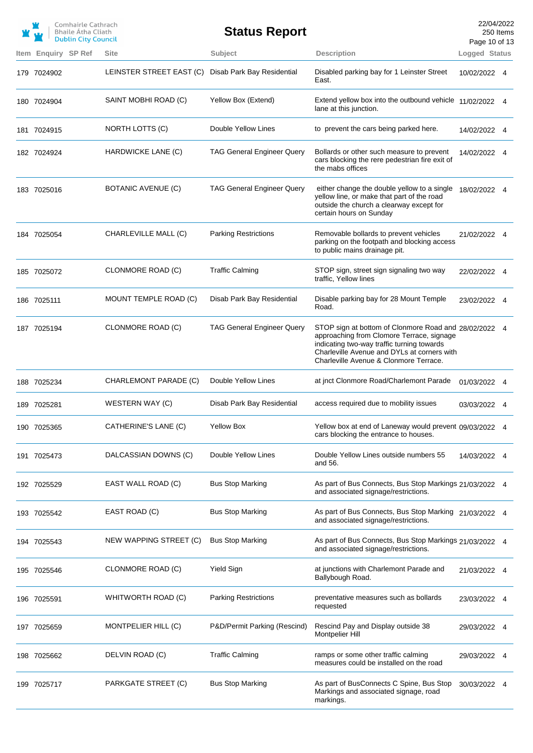|                            | Comhairle Cathrach<br><b>Bhaile Atha Cliath</b><br><b>Dublin City Council</b> |                          | <b>Status Report</b>              |                                                                                                                                                                                                                                           | Page 10 of 13 | 22/04/2022<br>250 Items |
|----------------------------|-------------------------------------------------------------------------------|--------------------------|-----------------------------------|-------------------------------------------------------------------------------------------------------------------------------------------------------------------------------------------------------------------------------------------|---------------|-------------------------|
| <b>Item Enguiry SP Ref</b> |                                                                               | <b>Site</b>              | Subject                           | <b>Description</b>                                                                                                                                                                                                                        | Logged Status |                         |
| 179 7024902                |                                                                               | LEINSTER STREET EAST (C) | Disab Park Bay Residential        | Disabled parking bay for 1 Leinster Street<br>East.                                                                                                                                                                                       | 10/02/2022 4  |                         |
| 180 7024904                |                                                                               | SAINT MOBHI ROAD (C)     | Yellow Box (Extend)               | Extend yellow box into the outbound vehicle<br>lane at this junction.                                                                                                                                                                     | 11/02/2022 4  |                         |
| 181 7024915                |                                                                               | NORTH LOTTS (C)          | Double Yellow Lines               | to prevent the cars being parked here.                                                                                                                                                                                                    | 14/02/2022 4  |                         |
| 182 7024924                |                                                                               | HARDWICKE LANE (C)       | <b>TAG General Engineer Query</b> | Bollards or other such measure to prevent<br>cars blocking the rere pedestrian fire exit of<br>the mabs offices                                                                                                                           | 14/02/2022 4  |                         |
| 183 7025016                |                                                                               | BOTANIC AVENUE (C)       | <b>TAG General Engineer Query</b> | either change the double yellow to a single<br>yellow line, or make that part of the road<br>outside the church a clearway except for<br>certain hours on Sunday                                                                          | 18/02/2022 4  |                         |
| 184 7025054                |                                                                               | CHARLEVILLE MALL (C)     | <b>Parking Restrictions</b>       | Removable bollards to prevent vehicles<br>parking on the footpath and blocking access<br>to public mains drainage pit.                                                                                                                    | 21/02/2022 4  |                         |
| 185 7025072                |                                                                               | CLONMORE ROAD (C)        | <b>Traffic Calming</b>            | STOP sign, street sign signaling two way<br>traffic, Yellow lines                                                                                                                                                                         | 22/02/2022 4  |                         |
| 186 7025111                |                                                                               | MOUNT TEMPLE ROAD (C)    | Disab Park Bay Residential        | Disable parking bay for 28 Mount Temple<br>Road.                                                                                                                                                                                          | 23/02/2022 4  |                         |
| 187 7025194                |                                                                               | CLONMORE ROAD (C)        | <b>TAG General Engineer Query</b> | STOP sign at bottom of Clonmore Road and 28/02/2022 4<br>approaching from Clomore Terrace, signage<br>indicating two-way traffic turning towards<br>Charleville Avenue and DYLs at corners with<br>Charleville Avenue & Clonmore Terrace. |               |                         |
| 188 7025234                |                                                                               | CHARLEMONT PARADE (C)    | Double Yellow Lines               | at jnct Clonmore Road/Charlemont Parade                                                                                                                                                                                                   | 01/03/2022 4  |                         |
| 189 7025281                |                                                                               | WESTERN WAY (C)          | Disab Park Bay Residential        | access required due to mobility issues                                                                                                                                                                                                    | 03/03/2022    | 4                       |
| 190 7025365                |                                                                               | CATHERINE'S LANE (C)     | <b>Yellow Box</b>                 | Yellow box at end of Laneway would prevent 09/03/2022 4<br>cars blocking the entrance to houses.                                                                                                                                          |               |                         |
| 191 7025473                |                                                                               | DALCASSIAN DOWNS (C)     | Double Yellow Lines               | Double Yellow Lines outside numbers 55<br>and 56.                                                                                                                                                                                         | 14/03/2022 4  |                         |
| 192 7025529                |                                                                               | EAST WALL ROAD (C)       | <b>Bus Stop Marking</b>           | As part of Bus Connects, Bus Stop Markings 21/03/2022 4<br>and associated signage/restrictions.                                                                                                                                           |               |                         |
| 193 7025542                |                                                                               | EAST ROAD (C)            | <b>Bus Stop Marking</b>           | As part of Bus Connects, Bus Stop Marking 21/03/2022 4<br>and associated signage/restrictions.                                                                                                                                            |               |                         |
| 194 7025543                |                                                                               | NEW WAPPING STREET (C)   | <b>Bus Stop Marking</b>           | As part of Bus Connects, Bus Stop Markings 21/03/2022 4<br>and associated signage/restrictions.                                                                                                                                           |               |                         |
| 195 7025546                |                                                                               | CLONMORE ROAD (C)        | Yield Sign                        | at junctions with Charlemont Parade and<br>Ballybough Road.                                                                                                                                                                               | 21/03/2022 4  |                         |
| 196 7025591                |                                                                               | WHITWORTH ROAD (C)       | <b>Parking Restrictions</b>       | preventative measures such as bollards<br>requested                                                                                                                                                                                       | 23/03/2022 4  |                         |
| 197 7025659                |                                                                               | MONTPELIER HILL (C)      | P&D/Permit Parking (Rescind)      | Rescind Pay and Display outside 38<br>Montpelier Hill                                                                                                                                                                                     | 29/03/2022 4  |                         |
| 198 7025662                |                                                                               | DELVIN ROAD (C)          | <b>Traffic Calming</b>            | ramps or some other traffic calming<br>measures could be installed on the road                                                                                                                                                            | 29/03/2022 4  |                         |
| 199 7025717                |                                                                               | PARKGATE STREET (C)      | <b>Bus Stop Marking</b>           | As part of BusConnects C Spine, Bus Stop<br>Markings and associated signage, road<br>markings.                                                                                                                                            | 30/03/2022 4  |                         |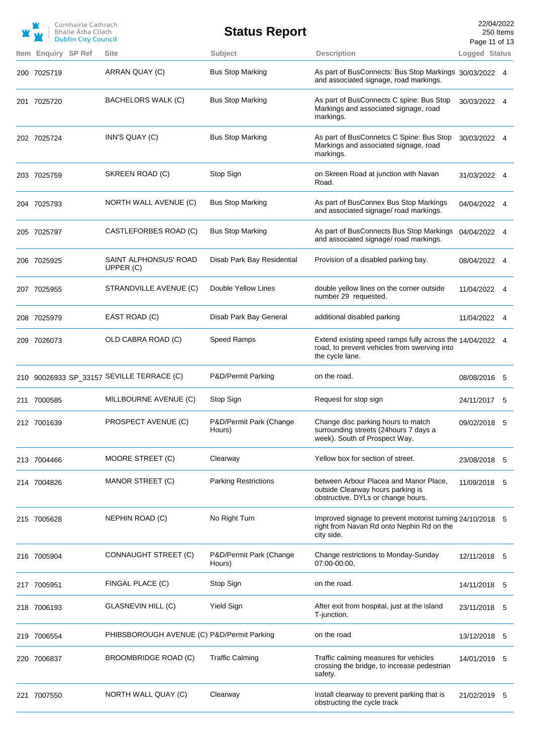|                     | Comhairle Cathrach<br><b>Bhaile Atha Cliath</b><br><b>Dublin City Council</b> |                                            | <b>Status Report</b>              |                                                                                                                              | Page 11 of 13 | 22/04/2022<br>250 Items |
|---------------------|-------------------------------------------------------------------------------|--------------------------------------------|-----------------------------------|------------------------------------------------------------------------------------------------------------------------------|---------------|-------------------------|
| Item Enquiry SP Ref |                                                                               | <b>Site</b>                                | Subject                           | <b>Description</b>                                                                                                           | Logged Status |                         |
| 200 7025719         |                                                                               | ARRAN QUAY (C)                             | <b>Bus Stop Marking</b>           | As part of BusConnects: Bus Stop Markings 30/03/2022 4<br>and associated signage, road markings.                             |               |                         |
| 201 7025720         |                                                                               | BACHELORS WALK (C)                         | <b>Bus Stop Marking</b>           | As part of BusConnects C spine: Bus Stop<br>Markings and associated signage, road<br>markings.                               | 30/03/2022 4  |                         |
| 202 7025724         |                                                                               | INN'S QUAY (C)                             | <b>Bus Stop Marking</b>           | As part of BusConnetcs C Spine: Bus Stop<br>Markings and associated signage, road<br>markings.                               | 30/03/2022 4  |                         |
| 203 7025759         |                                                                               | SKREEN ROAD (C)                            | Stop Sign                         | on Skreen Road at junction with Navan<br>Road.                                                                               | 31/03/2022 4  |                         |
| 204 7025793         |                                                                               | NORTH WALL AVENUE (C)                      | <b>Bus Stop Marking</b>           | As part of BusConnex Bus Stop Markings<br>and associated signage/ road markings.                                             | 04/04/2022 4  |                         |
| 205 7025797         |                                                                               | CASTLEFORBES ROAD (C)                      | <b>Bus Stop Marking</b>           | As part of BusConnects Bus Stop Markings<br>and associated signage/ road markings.                                           | 04/04/2022 4  |                         |
| 206 7025925         |                                                                               | SAINT ALPHONSUS' ROAD<br>UPPER (C)         | Disab Park Bay Residential        | Provision of a disabled parking bay.                                                                                         | 08/04/2022 4  |                         |
| 207 7025955         |                                                                               | STRANDVILLE AVENUE (C)                     | Double Yellow Lines               | double yellow lines on the corner outside<br>number 29 requested.                                                            | 11/04/2022 4  |                         |
| 208 7025979         |                                                                               | EAST ROAD (C)                              | Disab Park Bay General            | additional disabled parking                                                                                                  | 11/04/2022 4  |                         |
| 209 7026073         |                                                                               | OLD CABRA ROAD (C)                         | Speed Ramps                       | Extend existing speed ramps fully across the 14/04/2022 4<br>road, to prevent vehicles from swerving into<br>the cycle lane. |               |                         |
|                     |                                                                               | 210 90026933 SP_33157 SEVILLE TERRACE (C)  | P&D/Permit Parking                | on the road.                                                                                                                 | 08/08/2016 5  |                         |
| 211 7000585         |                                                                               | MILLBOURNE AVENUE (C)                      | Stop Sign                         | Request for stop sign                                                                                                        | 24/11/2017 5  |                         |
| 212 7001639         |                                                                               | PROSPECT AVENUE (C)                        | P&D/Permit Park (Change<br>Hours) | Change disc parking hours to match<br>surrounding streets (24 hours 7 days a<br>week). South of Prospect Way.                | 09/02/2018 5  |                         |
| 213 7004466         |                                                                               | MOORE STREET (C)                           | Clearway                          | Yellow box for section of street.                                                                                            | 23/08/2018 5  |                         |
| 214 7004826         |                                                                               | MANOR STREET (C)                           | <b>Parking Restrictions</b>       | between Arbour Placea and Manor Place,<br>outside Clearway hours parking is<br>obstructive. DYLs or change hours.            | 11/09/2018 5  |                         |
| 215 7005628         |                                                                               | NEPHIN ROAD (C)                            | No Right Turn                     | Improved signage to prevent motorist turning 24/10/2018 5<br>right from Navan Rd onto Nephin Rd on the<br>city side.         |               |                         |
| 216 7005904         |                                                                               | CONNAUGHT STREET (C)                       | P&D/Permit Park (Change<br>Hours) | Change restrictions to Monday-Sunday<br>07:00-00:00,                                                                         | 12/11/2018 5  |                         |
| 217 7005951         |                                                                               | FINGAL PLACE (C)                           | Stop Sign                         | on the road.                                                                                                                 | 14/11/2018 5  |                         |
| 218 7006193         |                                                                               | GLASNEVIN HILL (C)                         | <b>Yield Sign</b>                 | After exit from hospital, just at the island<br>T-junction.                                                                  | 23/11/2018 5  |                         |
| 219 7006554         |                                                                               | PHIBSBOROUGH AVENUE (C) P&D/Permit Parking |                                   | on the road                                                                                                                  | 13/12/2018 5  |                         |
| 220 7006837         |                                                                               | BROOMBRIDGE ROAD (C)                       | <b>Traffic Calming</b>            | Traffic calming measures for vehicles<br>crossing the bridge, to increase pedestrian<br>safety.                              | 14/01/2019 5  |                         |
| 221 7007550         |                                                                               | NORTH WALL QUAY (C)                        | Clearway                          | Install clearway to prevent parking that is<br>obstructing the cycle track                                                   | 21/02/2019 5  |                         |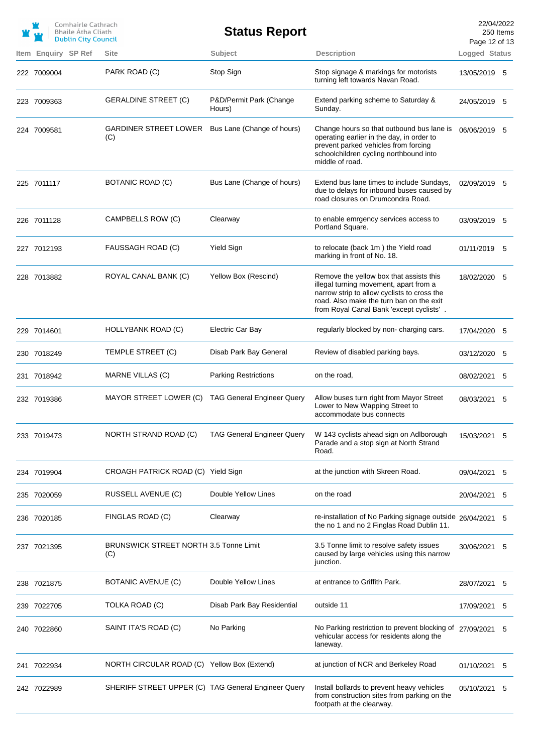|                     | Comhairle Cathrach<br><b>Bhaile Atha Cliath</b><br><b>Dublin City Council</b> |                                                      | <b>Status Report</b>              |                                                                                                                                                                                                                          | 22/04/2022<br>Page 12 of 13 | 250 Items |
|---------------------|-------------------------------------------------------------------------------|------------------------------------------------------|-----------------------------------|--------------------------------------------------------------------------------------------------------------------------------------------------------------------------------------------------------------------------|-----------------------------|-----------|
| Item Enquiry SP Ref |                                                                               | <b>Site</b>                                          | Subject                           | <b>Description</b>                                                                                                                                                                                                       | Logged Status               |           |
| 222 7009004         |                                                                               | PARK ROAD (C)                                        | Stop Sign                         | Stop signage & markings for motorists<br>turning left towards Navan Road.                                                                                                                                                | 13/05/2019 5                |           |
| 223 7009363         |                                                                               | <b>GERALDINE STREET (C)</b>                          | P&D/Permit Park (Change<br>Hours) | Extend parking scheme to Saturday &<br>Sunday.                                                                                                                                                                           | 24/05/2019 5                |           |
| 224 7009581         |                                                                               | GARDINER STREET LOWER<br>(C)                         | Bus Lane (Change of hours)        | Change hours so that outbound bus lane is<br>operating earlier in the day, in order to<br>prevent parked vehicles from forcing<br>schoolchildren cycling northbound into<br>middle of road.                              | 06/06/2019 5                |           |
| 225 7011117         |                                                                               | BOTANIC ROAD (C)                                     | Bus Lane (Change of hours)        | Extend bus lane times to include Sundays,<br>due to delays for inbound buses caused by<br>road closures on Drumcondra Road.                                                                                              | 02/09/2019 5                |           |
| 226 7011128         |                                                                               | CAMPBELLS ROW (C)                                    | Clearway                          | to enable emrgency services access to<br>Portland Square.                                                                                                                                                                | 03/09/2019 5                |           |
| 227 7012193         |                                                                               | FAUSSAGH ROAD (C)                                    | <b>Yield Sign</b>                 | to relocate (back 1m) the Yield road<br>marking in front of No. 18.                                                                                                                                                      | 01/11/2019 5                |           |
| 228 7013882         |                                                                               | ROYAL CANAL BANK (C)                                 | Yellow Box (Rescind)              | Remove the yellow box that assists this<br>illegal turning movement, apart from a<br>narrow strip to allow cyclists to cross the<br>road. Also make the turn ban on the exit<br>from Royal Canal Bank 'except cyclists'. | 18/02/2020                  | -5        |
| 229 7014601         |                                                                               | HOLLYBANK ROAD (C)                                   | Electric Car Bay                  | regularly blocked by non-charging cars.                                                                                                                                                                                  | 17/04/2020 5                |           |
| 230 7018249         |                                                                               | TEMPLE STREET (C)                                    | Disab Park Bay General            | Review of disabled parking bays.                                                                                                                                                                                         | 03/12/2020                  | -5        |
| 231 7018942         |                                                                               | MARNE VILLAS (C)                                     | <b>Parking Restrictions</b>       | on the road,                                                                                                                                                                                                             | 08/02/2021                  | 5         |
| 232 7019386         |                                                                               | MAYOR STREET LOWER (C) TAG General Engineer Query    |                                   | Allow buses turn right from Mayor Street<br>Lower to New Wapping Street to<br>accommodate bus connects                                                                                                                   | 08/03/2021                  | 5         |
| 233 7019473         |                                                                               | <b>NORTH STRAND ROAD (C)</b>                         | <b>TAG General Engineer Query</b> | W 143 cyclists ahead sign on Adlborough<br>Parade and a stop sign at North Strand<br>Road.                                                                                                                               | 15/03/2021                  | 5         |
| 234 7019904         |                                                                               | CROAGH PATRICK ROAD (C) Yield Sign                   |                                   | at the junction with Skreen Road.                                                                                                                                                                                        | 09/04/2021                  | 5         |
| 235 7020059         |                                                                               | RUSSELL AVENUE (C)                                   | Double Yellow Lines               | on the road                                                                                                                                                                                                              | 20/04/2021                  | 5         |
| 236 7020185         |                                                                               | FINGLAS ROAD (C)                                     | Clearway                          | re-installation of No Parking signage outside 26/04/2021<br>the no 1 and no 2 Finglas Road Dublin 11.                                                                                                                    |                             | 5         |
| 237 7021395         |                                                                               | <b>BRUNSWICK STREET NORTH 3.5 Tonne Limit</b><br>(C) |                                   | 3.5 Tonne limit to resolve safety issues<br>caused by large vehicles using this narrow<br>junction.                                                                                                                      | 30/06/2021                  | 5         |
| 238 7021875         |                                                                               | BOTANIC AVENUE (C)                                   | Double Yellow Lines               | at entrance to Griffith Park.                                                                                                                                                                                            | 28/07/2021                  | 5         |
| 239 7022705         |                                                                               | TOLKA ROAD (C)                                       | Disab Park Bay Residential        | outside 11                                                                                                                                                                                                               | 17/09/2021                  | 5         |
| 240 7022860         |                                                                               | SAINT ITA'S ROAD (C)                                 | No Parking                        | No Parking restriction to prevent blocking of 27/09/2021<br>vehicular access for residents along the<br>laneway.                                                                                                         |                             | 5         |
| 241 7022934         |                                                                               | NORTH CIRCULAR ROAD (C) Yellow Box (Extend)          |                                   | at junction of NCR and Berkeley Road                                                                                                                                                                                     | 01/10/2021                  | 5         |
| 242 7022989         |                                                                               | SHERIFF STREET UPPER (C) TAG General Engineer Query  |                                   | Install bollards to prevent heavy vehicles<br>from construction sites from parking on the<br>footpath at the clearway.                                                                                                   | 05/10/2021                  | 5         |